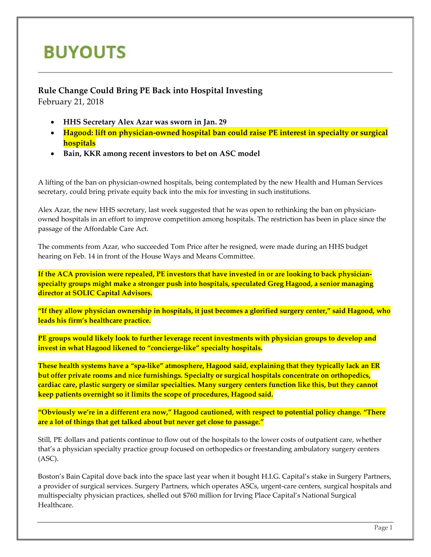## **BUYOUTS**

## **Rule Change Could Bring PE Back into Hospital Investing** February 21, 2018

- **HHS Secretary Alex Azar was sworn in Jan. 29**
- **Hagood: lift on physician-owned hospital ban could raise PE interest in specialty or surgical hospitals**
- **Bain, KKR among recent investors to bet on ASC model**

A lifting of the ban on physician-owned hospitals, being contemplated by the new Health and Human Services secretary, could bring private equity back into the mix for investing in such institutions.

Alex Azar, the new HHS secretary, last week suggested that he was open to rethinking the ban on physicianowned hospitals in an effort to improve competition among hospitals. The restriction has been in place since the passage of the Affordable Care Act.

The comments from Azar, who succeeded Tom Price after he resigned, were made during an HHS budget hearing on Feb. 14 in front of the House Ways and Means Committee.

**If the ACA provision were repealed, PE investors that have invested in or are looking to back physicianspecialty groups might make a stronger push into hospitals, speculated Greg Hagood, a senior managing director at SOLIC Capital Advisors.**

**"If they allow physician ownership in hospitals, it just becomes a glorified surgery center," said Hagood, who leads his firm's healthcare practice.**

**PE groups would likely look to further leverage recent investments with physician groups to develop and invest in what Hagood likened to "concierge-like" specialty hospitals.**

**These health systems have a "spa-like" atmosphere, Hagood said, explaining that they typically lack an ER but offer private rooms and nice furnishings. Specialty or surgical hospitals concentrate on orthopedics, cardiac care, plastic surgery or similar specialties. Many surgery centers function like this, but they cannot keep patients overnight so it limits the scope of procedures, Hagood said.**

**"Obviously we're in a different era now," Hagood cautioned, with respect to potential policy change. "There are a lot of things that get talked about but never get close to passage."**

Still, PE dollars and patients continue to flow out of the hospitals to the lower costs of outpatient care, whether that's a physician specialty practice group focused on orthopedics or freestanding ambulatory surgery centers (ASC).

Boston's Bain Capital dove back into the space last year when it bought H.I.G. Capital's stake in Surgery Partners, a provider of surgical services. Surgery Partners, which operates ASCs, urgent-care centers, surgical hospitals and multispecialty physician practices, shelled out \$760 million for Irving Place Capital's National Surgical Healthcare.